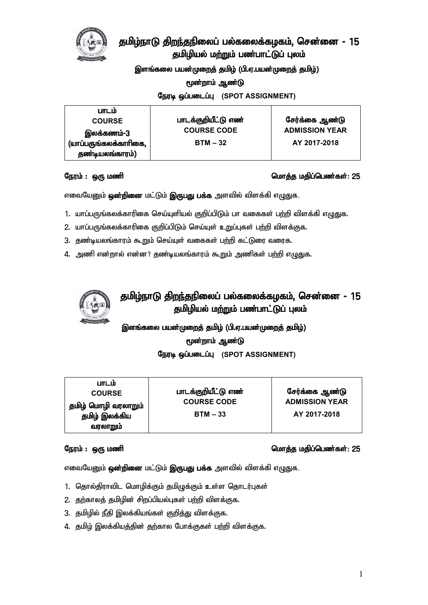## தமிழ்நாடு திறந்தநிலைப் பல்கலைக்கழகம், சென்னை - 15 தமிழியல் மற்றும் பண்பாட்டுப் புலம்

இளங்கலை பயன்முறைத் தமிழ் (பி.ஏ.பயன்முறைத் தமிழ்)

## மூன்றாம் ஆண்டு

நேரடி ஒப்படைப்பு (SPOT ASSIGNMENT)

| பாடம்                 |                     |                       |
|-----------------------|---------------------|-----------------------|
| <b>COURSE</b>         | பாடக்குறியீட்டு எண் | சேர்க்கை ஆண்டு        |
| இலக்கணம்-3            | <b>COURSE CODE</b>  | <b>ADMISSION YEAR</b> |
| (யாப்பருங்கலக்காரிகை, | $BTM - 32$          | AY 2017-2018          |
| தண்டியலங்காரம்)       |                     |                       |

### Neuk; : xU kzp nkhj;j kjpg;ngz;fs;**:** 25

எவையேனும் **ஒன்றினை** மட்டும் **இருபது பக்க** அளவில் விளக்கி எழுதுக,

- 1. யாப்பருங்கலக்காரிகை செய்யுளியல் குறிப்பிடும் பா வகைகள் பற்றி விளக்கி எழுதுக.
- 2. யாப்பருங்கலக்காரிகை குறிப்பிடும் செய்யுள் உறுப்புகள் பற்றி விளக்குக.
- 3. தண்டியலங்காரம் கூறும் செய்யுள் வகைகள் பற்றி கட்டுரை வரைக.
- 4. அணி என்றால் என்ன? தண்டியலங்காரம் கூறும் அணிகள் பற்றி எழுதுக.



# தமிழ்நாடு திறந்தநிலைப் பல்கலைக்கழகம், சென்னை - 15 தமிழியல் மற்றும் பண்பாட்டுப் புலம்

# இளங்கலை பயன்முறைத் தமிழ் (பி.ஏ.பயன்முறைத் தமிழ்) மூன்றாம் ஆண்டு **நேரடி ஒப்படைப்பு (SPOT ASSIGNMENT)**

| பாடம்               |                     |                       |
|---------------------|---------------------|-----------------------|
| <b>COURSE</b>       | பாடக்குறியீட்டு எண் | சேர்க்கை ஆண்டு        |
| தமிழ் மொழி வரலாறும் | <b>COURSE CODE</b>  | <b>ADMISSION YEAR</b> |
| தமிழ் இலக்கிய       | $BTM - 33$          | AY 2017-2018          |
| வரலாறும்            |                     |                       |

## Neuk; : xU kzp nkhj;j kjpg;ngz;fs;**:** 25

எவையேனும் **ஒன்றினை** மட்டும் **இருபது பக்க** அளவில் விளக்கி எழுதுக.

- 1. தொல்திராவிட மொழிக்கும் தமிழுக்கும் உள்ள தொடர்புகள்
- 2. தற்காலத் தமிழின் சிறப்பியல்புகள் பற்றி விளக்குக.
- 3. தமிழில் நீதி இலக்கியங்கள் குறித்து விளக்குக.
- 4. தமிழ் இலக்கியத்தின் தற்கால போக்குகள் பற்றி விளக்குக.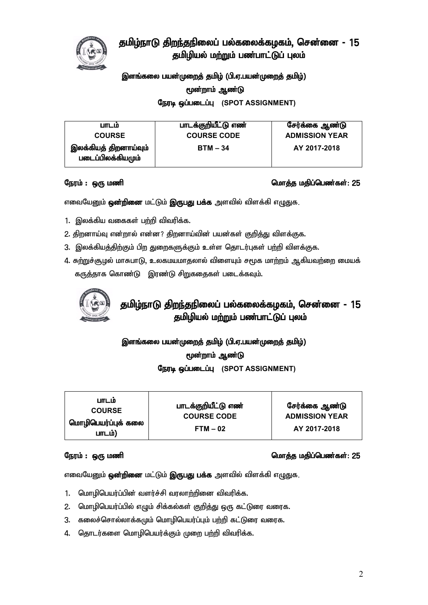## தமிழ்நாடு திறந்தநிலைப் பல்கலைக்கழகம், சென்னை - 15 தமிழியல் மற்றும் பண்பாட்டுப் புலம்



### இளங்கலை பயன்முறைத் தமிழ் (பி.ஏ.பயன்முறைத் தமிழ்)

### மூன்றாம் ஆண்டு

நேரடி ஒப்படைப்பு (SPOT ASSIGNMENT)

| பாடம்                                      | பாடக்குறியீட்டு எண் | சேர்க்கை ஆண்டு        |
|--------------------------------------------|---------------------|-----------------------|
| <b>COURSE</b>                              | <b>COURSE CODE</b>  | <b>ADMISSION YEAR</b> |
| இலக்கியத் திறனாய்வும்<br>படைப்பிலக்கியமும் | $BTM - 34$          | AY 2017-2018          |

### Neuk; : xU kzp nkhj;j kjpg;ngz;fs;**:** 25

எவையேனும் **ஒன்றினை** மட்டும் **இருபது பக்க** அளவில் விளக்கி எழுதுக.

- 1. இலக்கிய வகைகள் பற்றி விவரிக்க.
- 2. திறனாய்வு என்றால் என்ன? திறனாய்வின் பயன்கள் குறித்து விளக்குக.
- 3. இலக்கியத்திற்கும் பிற துறைகளுக்கும் உள்ள தொடர்புகள் பற்றி விளக்குக.
- 4. சுற்றுச்சூழல் மாசுபாடு, உலகமயமாதலால் விளையும் சமூக மாற்றம் ஆகியவற்றை மையக் கருத்தாக கொண்டு இரண்டு சிறுகதைகள் படைக்கவும்.



# தமிழ்நாடு திறந்தநிலைப் பல்கலைக்கழகம், சென்னை - 15 தமிழியல் மற்றும் பண்பாட்டுப் புலம்

# இளங்கலை பயன்முறைத் தமிழ் (பி.ஏ.பயன்முறைத் தமிழ்) மூன்றாம் ஆண்டு **நேரடி ஒப்படைப்பு (SPOT ASSIGNMENT)**

### Neuk; : xU kzp nkhj;j kjpg;ngz;fs;**:** 25

எவையேனும் **ஒன்றினை** மட்டும் **இருபது பக்க** அளவில் விளக்கி எழுதுக.

- 1. மொழிபெயர்ப்பின் வளர்ச்சி வரலாற்றினை விவரிக்க.
- 2. மொழிபெயர்ப்பில் எழும் சிக்கல்கள் குறித்து ஒரு கட்டுரை வரைக.
- 3. கலைச்சொல்லாக்கமும் மொழிபெயர்ப்பும் பற்றி கட்டுரை வரைக.
- 4. தொடர்களை மொழிபெயர்க்கும் முறை பற்றி விவரிக்க.